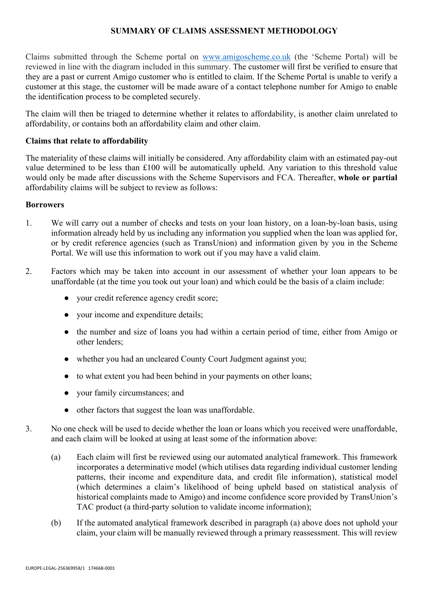## SUMMARY OF CLAIMS ASSESSMENT METHODOLOGY

Claims submitted through the Scheme portal on www.amigoscheme.co.uk (the 'Scheme Portal) will be reviewed in line with the diagram included in this summary. The customer will first be verified to ensure that they are a past or current Amigo customer who is entitled to claim. If the Scheme Portal is unable to verify a customer at this stage, the customer will be made aware of a contact telephone number for Amigo to enable the identification process to be completed securely.

The claim will then be triaged to determine whether it relates to affordability, is another claim unrelated to affordability, or contains both an affordability claim and other claim.

## Claims that relate to affordability

The materiality of these claims will initially be considered. Any affordability claim with an estimated pay-out value determined to be less than £100 will be automatically upheld. Any variation to this threshold value would only be made after discussions with the Scheme Supervisors and FCA. Thereafter, whole or partial affordability claims will be subject to review as follows:

#### Borrowers

- 1. We will carry out a number of checks and tests on your loan history, on a loan-by-loan basis, using information already held by us including any information you supplied when the loan was applied for, or by credit reference agencies (such as TransUnion) and information given by you in the Scheme Portal. We will use this information to work out if you may have a valid claim.
- 2. Factors which may be taken into account in our assessment of whether your loan appears to be unaffordable (at the time you took out your loan) and which could be the basis of a claim include:
	- your credit reference agency credit score;
	- your income and expenditure details;
	- the number and size of loans you had within a certain period of time, either from Amigo or other lenders;
	- whether you had an uncleared County Court Judgment against you;
	- to what extent you had been behind in your payments on other loans;
	- vour family circumstances; and
	- other factors that suggest the loan was unaffordable.
- 3. No one check will be used to decide whether the loan or loans which you received were unaffordable, and each claim will be looked at using at least some of the information above:
	- (a) Each claim will first be reviewed using our automated analytical framework. This framework incorporates a determinative model (which utilises data regarding individual customer lending patterns, their income and expenditure data, and credit file information), statistical model (which determines a claim's likelihood of being upheld based on statistical analysis of historical complaints made to Amigo) and income confidence score provided by TransUnion's TAC product (a third-party solution to validate income information);
	- (b) If the automated analytical framework described in paragraph (a) above does not uphold your claim, your claim will be manually reviewed through a primary reassessment. This will review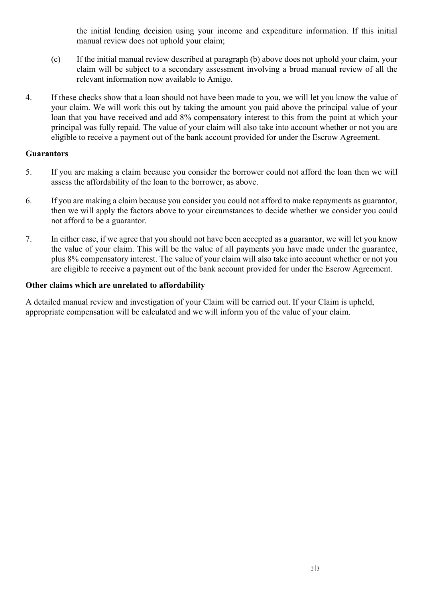the initial lending decision using your income and expenditure information. If this initial manual review does not uphold your claim;

- (c) If the initial manual review described at paragraph (b) above does not uphold your claim, your claim will be subject to a secondary assessment involving a broad manual review of all the relevant information now available to Amigo.
- 4. If these checks show that a loan should not have been made to you, we will let you know the value of your claim. We will work this out by taking the amount you paid above the principal value of your loan that you have received and add 8% compensatory interest to this from the point at which your principal was fully repaid. The value of your claim will also take into account whether or not you are eligible to receive a payment out of the bank account provided for under the Escrow Agreement.

## **Guarantors**

- 5. If you are making a claim because you consider the borrower could not afford the loan then we will assess the affordability of the loan to the borrower, as above.
- 6. If you are making a claim because you consider you could not afford to make repayments as guarantor, then we will apply the factors above to your circumstances to decide whether we consider you could not afford to be a guarantor.
- 7. In either case, if we agree that you should not have been accepted as a guarantor, we will let you know the value of your claim. This will be the value of all payments you have made under the guarantee, plus 8% compensatory interest. The value of your claim will also take into account whether or not you are eligible to receive a payment out of the bank account provided for under the Escrow Agreement.

# Other claims which are unrelated to affordability

A detailed manual review and investigation of your Claim will be carried out. If your Claim is upheld, appropriate compensation will be calculated and we will inform you of the value of your claim.